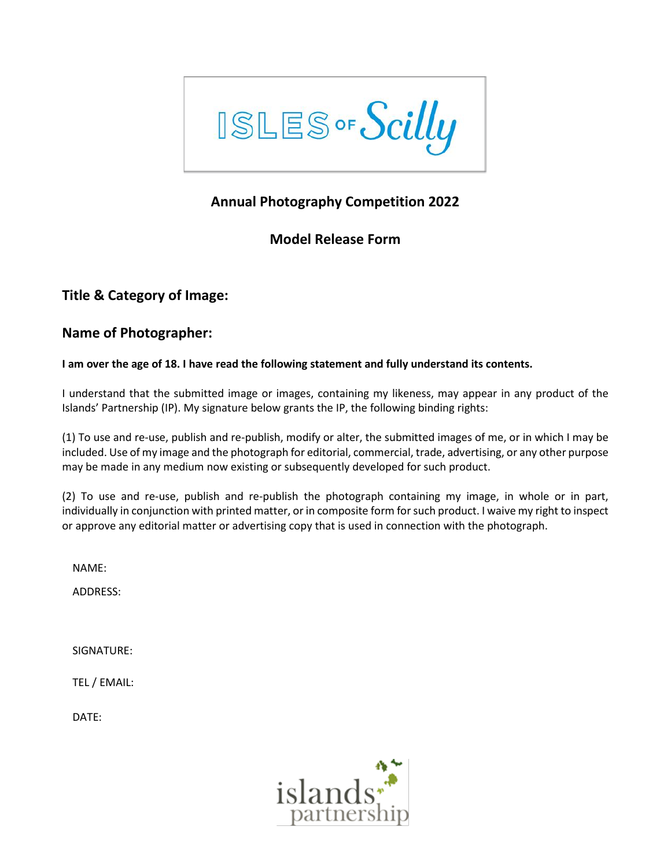

# **Annual Photography Competition 2022**

## **Model Release Form**

## **Title & Category of Image:**

## **Name of Photographer:**

### **I am over the age of 18. I have read the following statement and fully understand its contents.**

I understand that the submitted image or images, containing my likeness, may appear in any product of the Islands' Partnership (IP). My signature below grants the IP, the following binding rights:

(1) To use and re-use, publish and re-publish, modify or alter, the submitted images of me, or in which I may be included. Use of my image and the photograph for editorial, commercial, trade, advertising, or any other purpose may be made in any medium now existing or subsequently developed for such product.

(2) To use and re-use, publish and re-publish the photograph containing my image, in whole or in part, individually in conjunction with printed matter, or in composite form forsuch product. I waive my right to inspect or approve any editorial matter or advertising copy that is used in connection with the photograph.

NAME:

ADDRESS:

SIGNATURE:

TEL / EMAIL:

DATE: